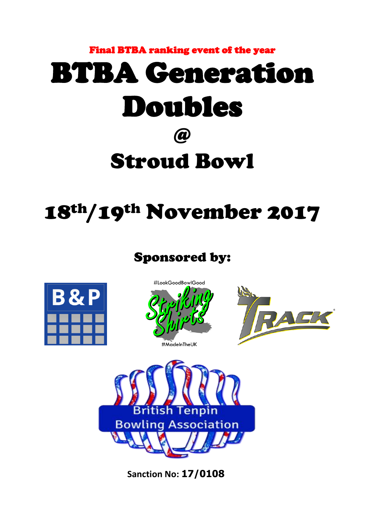# Final BTBA ranking event of the year BTBA Generation Doubles @ Stroud Bowl

## 18th/19th November 2017

### Sponsored by:









**Sanction No: 17/0108**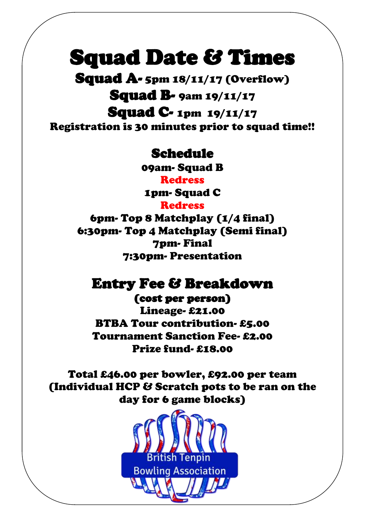### Squad Date & Times

Squad A- 5pm 18/11/17 (Overflow)

**Squad B-** 9am 19/11/17

Squad C- 1pm 19/11/17 Registration is 30 minutes prior to squad time!!

### Schedule

09am- Squad B

**Redress** 

1pm- Squad C

**Redress** 

6pm- Top 8 Matchplay (1/4 final) 6:30pm- Top 4 Matchplay (Semi final) 7pm- Final 7:30pm- Presentation

### Entry Fee & Breakdown

(cost per person) Lineage- £21.00 BTBA Tour contribution- £5.00 Tournament Sanction Fee- £2.00 Prize fund- £18.00

Total £46.00 per bowler, £92.00 per team (Individual HCP & Scratch pots to be ran on the day for 6 game blocks)

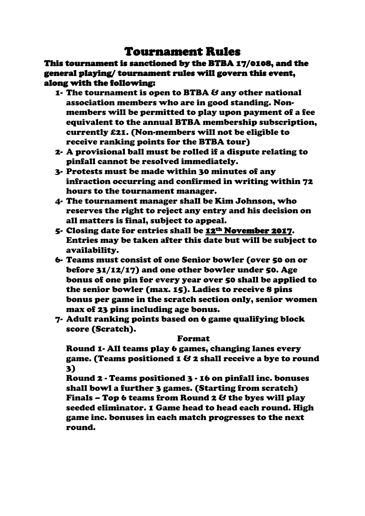#### Tournament Rules

This tournament is sanctioned by the BTBA 17/0108, and the general playing/ tournament rules will govern this event, along with the following:

- 1- The tournament is open to BTBA & any other national association members who are in good standing. Nonmembers will be permitted to play upon payment of a fee equivalent to the annual BTBA membership subscription, currently £21. (Non-members will not be eligible to receive ranking points for the BTBA tour)
- 2- A provisional ball must be rolled if a dispute relating to pinfall cannot be resolved immediately.
- 3- Protests must be made within 30 minutes of any infraction occurring and confirmed in writing within 72 hours to the tournament manager.
- 4- The tournament manager shall be Kim Johnson, who reserves the right to reject any entry and his decision on all matters is final, subject to appeal.
- 5- Closing date for entries shall be 12th November 2017. Entries may be taken after this date but will be subject to availability.
- 6- Teams must consist of one Senior bowler (over 50 on or before 31/12/17) and one other bowler under 50. Age bonus of one pin for every year over 50 shall be applied to the senior bowler (max. 15). Ladies to receive 8 pins bonus per game in the scratch section only, senior women max of 23 pins including age bonus.
- 7- Adult ranking points based on 6 game qualifying block score (Scratch).

#### Format

Round 1- All teams play 6 games, changing lanes every game. (Teams positioned 1 & 2 shall receive a bye to round 3)

Round 2 - Teams positioned 3 - 16 on pinfall inc. bonuses shall bowl a further 3 games. (Starting from scratch) Finals – Top 6 teams from Round 2  $\mathcal{C}$  the byes will play seeded eliminator. 1 Game head to head each round. High game inc. bonuses in each match progresses to the next round.